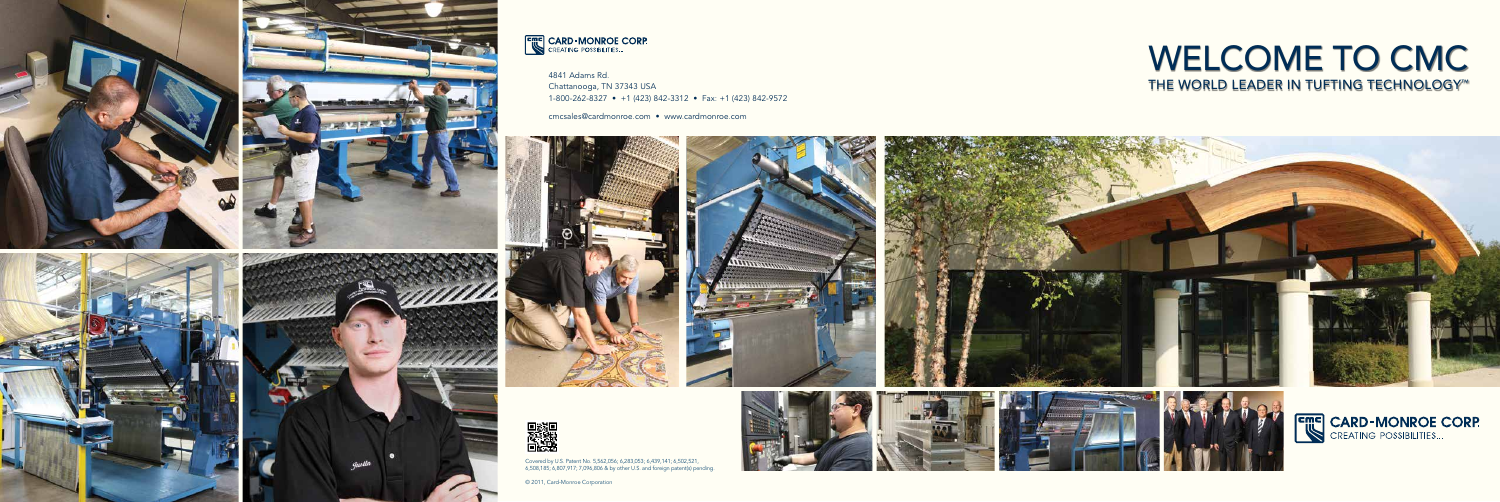## WELCOME TO CMC THE WORLD LEADER IN TUFTING TECHNOLOGY<sup>™</sup>